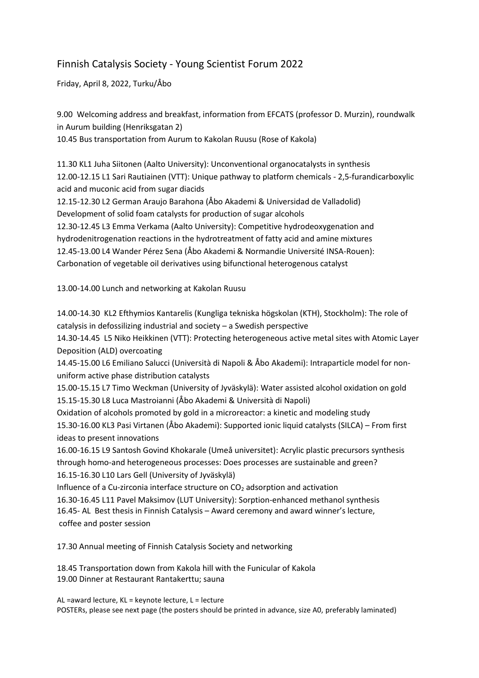## Finnish Catalysis Society - Young Scientist Forum 2022

Friday, April 8, 2022, Turku/Åbo

9.00 Welcoming address and breakfast, information from EFCATS (professor D. Murzin), roundwalk in Aurum building (Henriksgatan 2)

10.45 Bus transportation from Aurum to Kakolan Ruusu (Rose of Kakola)

11.30 KL1 Juha Siitonen (Aalto University): Unconventional organocatalysts in synthesis 12.00-12.15 L1 Sari Rautiainen (VTT): Unique pathway to platform chemicals - 2,5-furandicarboxylic acid and muconic acid from sugar diacids

12.15-12.30 L2 German Araujo Barahona (Åbo Akademi & Universidad de Valladolid) Development of solid foam catalysts for production of sugar alcohols 12.30-12.45 L3 Emma Verkama (Aalto University): Competitive hydrodeoxygenation and hydrodenitrogenation reactions in the hydrotreatment of fatty acid and amine mixtures 12.45-13.00 L4 Wander Pérez Sena (Åbo Akademi & Normandie Université INSA-Rouen): Carbonation of vegetable oil derivatives using bifunctional heterogenous catalyst

13.00-14.00 Lunch and networking at Kakolan Ruusu

14.00-14.30 KL2 Efthymios Kantarelis (Kungliga tekniska högskolan (KTH), Stockholm): The role of catalysis in defossilizing industrial and society – a Swedish perspective

14.30-14.45 L5 Niko Heikkinen (VTT): Protecting heterogeneous active metal sites with Atomic Layer Deposition (ALD) overcoating

14.45-15.00 L6 Emiliano Salucci (Università di Napoli & Åbo Akademi): Intraparticle model for nonuniform active phase distribution catalysts

15.00-15.15 L7 Timo Weckman (University of Jyväskylä): Water assisted alcohol oxidation on gold 15.15-15.30 L8 Luca Mastroianni (Åbo Akademi & Università di Napoli)

Oxidation of alcohols promoted by gold in a microreactor: a kinetic and modeling study 15.30-16.00 KL3 Pasi Virtanen (Åbo Akademi): Supported ionic liquid catalysts (SILCA) – From first ideas to present innovations

16.00-16.15 L9 Santosh Govind Khokarale (Umeå universitet): Acrylic plastic precursors synthesis through homo-and heterogeneous processes: Does processes are sustainable and green?

16.15-16.30 L10 Lars Gell (University of Jyväskylä)

Influence of a Cu-zirconia interface structure on  $CO<sub>2</sub>$  adsorption and activation

16.30-16.45 L11 Pavel Maksimov (LUT University): Sorption-enhanced methanol synthesis 16.45- AL Best thesis in Finnish Catalysis – Award ceremony and award winner's lecture, coffee and poster session

17.30 Annual meeting of Finnish Catalysis Society and networking

18.45 Transportation down from Kakola hill with the Funicular of Kakola 19.00 Dinner at Restaurant Rantakerttu; sauna

AL =award lecture, KL = keynote lecture, L = lecture POSTERs, please see next page (the posters should be printed in advance, size A0, preferably laminated)